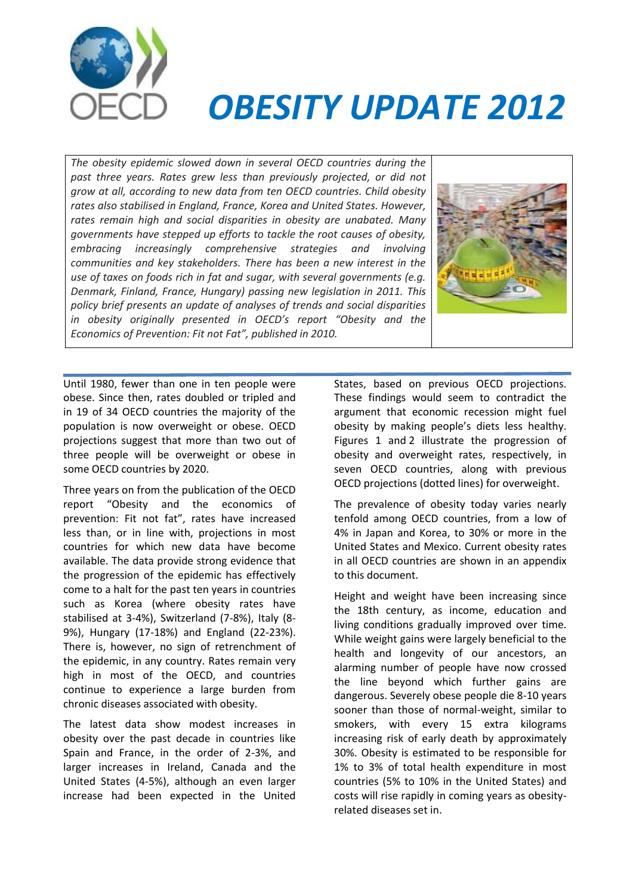

# *OBESITY UPDATE 2012*

*The obesity epidemic slowed down in several OECD countries during the past three years. Rates grew less than previously projected, or did not grow at all, according to new data from ten OECD countries. Child obesity rates also stabilised in England, France, Korea and United States. However, rates remain high and social disparities in obesity are unabated. Many governments have stepped up efforts to tackle the root causes of obesity, embracing increasingly comprehensive strategies and involving communities and key stakeholders. There has been a new interest in the use of taxes on foods rich in fat and sugar, with several governments (e.g. Denmark, Finland, France, Hungary) passing new legislation in 2011. This policy brief presents an update of analyses of trends and social disparities in obesity originally presented in OECD's report "Obesity and the Economics of Prevention: Fit not Fat", published in 2010.*



Until 1980, fewer than one in ten people were obese. Since then, rates doubled or tripled and in 19 of 34 OECD countries the majority of the population is now overweight or obese. OECD projections suggest that more than two out of three people will be overweight or obese in some OECD countries by 2020.

Three years on from the publication of the OECD report "Obesity and the economics of prevention: Fit not fat", rates have increased less than, or in line with, projections in most countries for which new data have become available. The data provide strong evidence that the progression of the epidemic has effectively come to a halt for the past ten years in countries such as Korea (where obesity rates have stabilised at 3-4%), Switzerland (7-8%), Italy (8- 9%), Hungary (17-18%) and England (22-23%). There is, however, no sign of retrenchment of the epidemic, in any country. Rates remain very high in most of the OECD, and countries continue to experience a large burden from chronic diseases associated with obesity.

The latest data show modest increases in obesity over the past decade in countries like Spain and France, in the order of 2-3%, and larger increases in Ireland, Canada and the United States (4-5%), although an even larger increase had been expected in the United States, based on previous OECD projections. These findings would seem to contradict the argument that economic recession might fuel obesity by making people's diets less healthy. Figures 1 and 2 illustrate the progression of obesity and overweight rates, respectively, in seven OECD countries, along with previous OECD projections (dotted lines) for overweight.

The prevalence of obesity today varies nearly tenfold among OECD countries, from a low of 4% in Japan and Korea, to 30% or more in the United States and Mexico. Current obesity rates in all OECD countries are shown in an appendix to this document.

Height and weight have been increasing since the 18th century, as income, education and living conditions gradually improved over time. While weight gains were largely beneficial to the health and longevity of our ancestors, an alarming number of people have now crossed the line beyond which further gains are dangerous. Severely obese people die 8-10 years sooner than those of normal-weight, similar to smokers, with every 15 extra kilograms increasing risk of early death by approximately 30%. Obesity is estimated to be responsible for 1% to 3% of total health expenditure in most countries (5% to 10% in the United States) and costs will rise rapidly in coming years as obesityrelated diseases set in.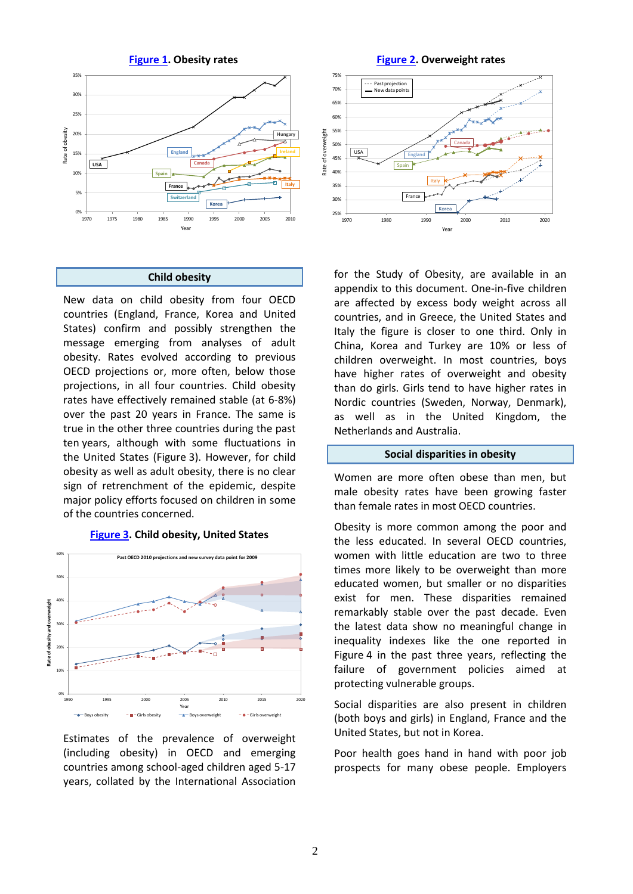

#### **Child obesity**

New data on child obesity from four OECD countries (England, France, Korea and United States) confirm and possibly strengthen the message emerging from analyses of adult obesity. Rates evolved according to previous OECD projections or, more often, below those projections, in all four countries. Child obesity rates have effectively remained stable (at 6-8%) over the past 20 years in France. The same is true in the other three countries during the past ten years, although with some fluctuations in the United States (Figure 3). However, for child obesity as well as adult obesity, there is no clear sign of retrenchment of the epidemic, despite major policy efforts focused on children in some of the countries concerned.



#### **[Figure 3.](http://www.oecd.org/dataoecd/2/8/49715066.xls) Child obesity, United States**

Estimates of the prevalence of overweight (including obesity) in OECD and emerging countries among school-aged children aged 5-17 years, collated by the International Association



for the Study of Obesity, are available in an appendix to this document. One-in-five children are affected by excess body weight across all countries, and in Greece, the United States and Italy the figure is closer to one third. Only in China, Korea and Turkey are 10% or less of children overweight. In most countries, boys have higher rates of overweight and obesity than do girls. Girls tend to have higher rates in Nordic countries (Sweden, Norway, Denmark), as well as in the United Kingdom, the Netherlands and Australia.

#### **Social disparities in obesity**

Women are more often obese than men, but male obesity rates have been growing faster than female rates in most OECD countries.

Obesity is more common among the poor and the less educated. In several OECD countries, women with little education are two to three times more likely to be overweight than more educated women, but smaller or no disparities exist for men. These disparities remained remarkably stable over the past decade. Even the latest data show no meaningful change in inequality indexes like the one reported in Figure 4 in the past three years, reflecting the failure of government policies aimed at protecting vulnerable groups.

Social disparities are also present in children (both boys and girls) in England, France and the United States, but not in Korea.

Poor health goes hand in hand with poor job prospects for many obese people. Employers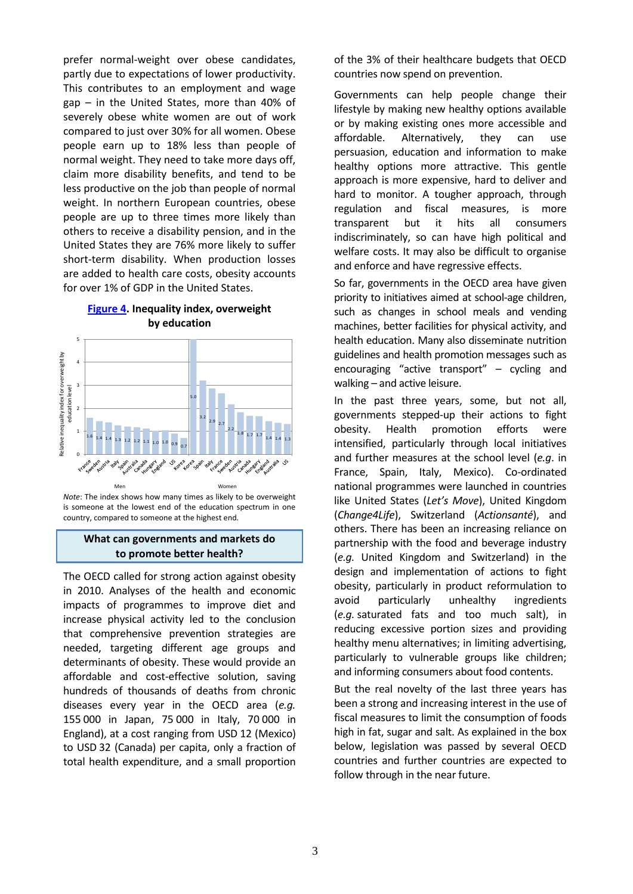prefer normal-weight over obese candidates, partly due to expectations of lower productivity. This contributes to an employment and wage gap – in the United States, more than 40% of severely obese white women are out of work compared to just over 30% for all women. Obese people earn up to 18% less than people of normal weight. They need to take more days off, claim more disability benefits, and tend to be less productive on the job than people of normal weight. In northern European countries, obese people are up to three times more likely than others to receive a disability pension, and in the United States they are 76% more likely to suffer short-term disability. When production losses are added to health care costs, obesity accounts for over 1% of GDP in the United States.



# **[Figure 4.](http://www.oecd.org/dataoecd/2/9/49715091.xlsx) Inequality index, overweight by education**

*Note*: The index shows how many times as likely to be overweight is someone at the lowest end of the education spectrum in one country, compared to someone at the highest end.

## **What can governments and markets do to promote better health?**

The OECD called for strong action against obesity in 2010. Analyses of the health and economic impacts of programmes to improve diet and increase physical activity led to the conclusion that comprehensive prevention strategies are needed, targeting different age groups and determinants of obesity. These would provide an affordable and cost-effective solution, saving hundreds of thousands of deaths from chronic diseases every year in the OECD area (*e.g.* 155 000 in Japan, 75 000 in Italy, 70 000 in England), at a cost ranging from USD 12 (Mexico) to USD 32 (Canada) per capita, only a fraction of total health expenditure, and a small proportion

of the 3% of their healthcare budgets that OECD countries now spend on prevention.

Governments can help people change their lifestyle by making new healthy options available or by making existing ones more accessible and affordable. Alternatively, they can use persuasion, education and information to make healthy options more attractive. This gentle approach is more expensive, hard to deliver and hard to monitor. A tougher approach, through regulation and fiscal measures, is more transparent but it hits all consumers indiscriminately, so can have high political and welfare costs. It may also be difficult to organise and enforce and have regressive effects.

So far, governments in the OECD area have given priority to initiatives aimed at school-age children, such as changes in school meals and vending machines, better facilities for physical activity, and health education. Many also disseminate nutrition guidelines and health promotion messages such as encouraging "active transport" – cycling and walking – and active leisure.

In the past three years, some, but not all, governments stepped-up their actions to fight obesity. Health promotion efforts were intensified, particularly through local initiatives and further measures at the school level (*e.g*. in France, Spain, Italy, Mexico). Co-ordinated national programmes were launched in countries like United States (*Let's Move*), United Kingdom (*Change4Life*), Switzerland (*Actionsanté*), and others. There has been an increasing reliance on partnership with the food and beverage industry (*e.g.* United Kingdom and Switzerland) in the design and implementation of actions to fight obesity, particularly in product reformulation to avoid particularly unhealthy ingredients (*e.g.* saturated fats and too much salt), in reducing excessive portion sizes and providing healthy menu alternatives; in limiting advertising, particularly to vulnerable groups like children; and informing consumers about food contents.

But the real novelty of the last three years has been a strong and increasing interest in the use of fiscal measures to limit the consumption of foods high in fat, sugar and salt. As explained in the box below, legislation was passed by several OECD countries and further countries are expected to follow through in the near future.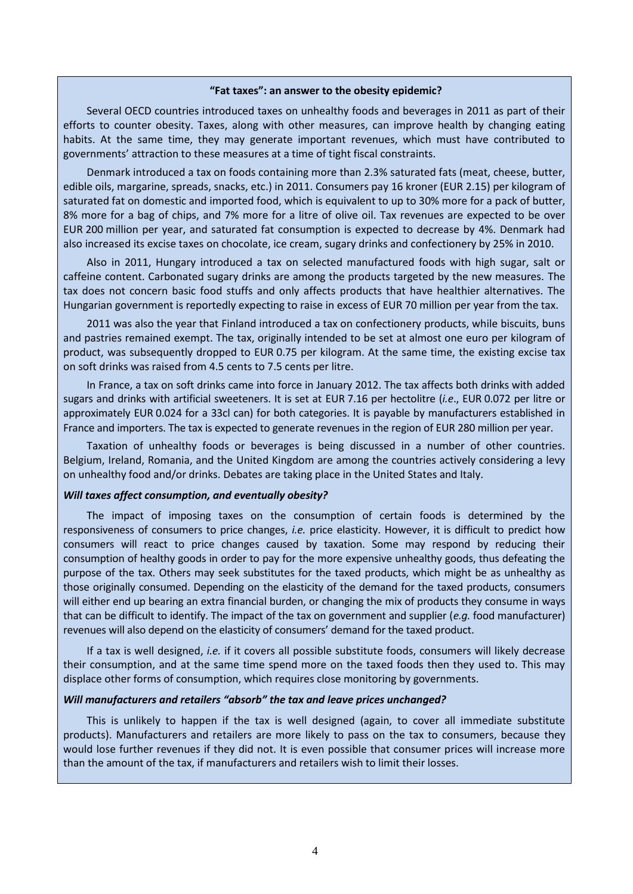#### **"Fat taxes": an answer to the obesity epidemic?**

Several OECD countries introduced taxes on unhealthy foods and beverages in 2011 as part of their efforts to counter obesity. Taxes, along with other measures, can improve health by changing eating habits. At the same time, they may generate important revenues, which must have contributed to governments' attraction to these measures at a time of tight fiscal constraints.

Denmark introduced a tax on foods containing more than 2.3% saturated fats (meat, cheese, butter, edible oils, margarine, spreads, snacks, etc.) in 2011. Consumers pay 16 kroner (EUR 2.15) per kilogram of saturated fat on domestic and imported food, which is equivalent to up to 30% more for a pack of butter, 8% more for a bag of chips, and 7% more for a litre of olive oil. Tax revenues are expected to be over EUR 200 million per year, and saturated fat consumption is expected to decrease by 4%. Denmark had also increased its excise taxes on chocolate, ice cream, sugary drinks and confectionery by 25% in 2010.

Also in 2011, Hungary introduced a tax on selected manufactured foods with high sugar, salt or caffeine content. Carbonated sugary drinks are among the products targeted by the new measures. The tax does not concern basic food stuffs and only affects products that have healthier alternatives. The Hungarian government is reportedly expecting to raise in excess of EUR 70 million per year from the tax.

2011 was also the year that Finland introduced a tax on confectionery products, while biscuits, buns and pastries remained exempt. The tax, originally intended to be set at almost one euro per kilogram of product, was subsequently dropped to EUR 0.75 per kilogram. At the same time, the existing excise tax on soft drinks was raised from 4.5 cents to 7.5 cents per litre.

In France, a tax on soft drinks came into force in January 2012. The tax affects both drinks with added sugars and drinks with artificial sweeteners. It is set at EUR 7.16 per hectolitre (*i.e*., EUR 0.072 per litre or approximately EUR 0.024 for a 33cl can) for both categories. It is payable by manufacturers established in France and importers. The tax is expected to generate revenues in the region of EUR 280 million per year.

Taxation of unhealthy foods or beverages is being discussed in a number of other countries. Belgium, Ireland, Romania, and the United Kingdom are among the countries actively considering a levy on unhealthy food and/or drinks. Debates are taking place in the United States and Italy.

### *Will taxes affect consumption, and eventually obesity?*

The impact of imposing taxes on the consumption of certain foods is determined by the responsiveness of consumers to price changes, *i.e.* price elasticity. However, it is difficult to predict how consumers will react to price changes caused by taxation. Some may respond by reducing their consumption of healthy goods in order to pay for the more expensive unhealthy goods, thus defeating the purpose of the tax. Others may seek substitutes for the taxed products, which might be as unhealthy as those originally consumed. Depending on the elasticity of the demand for the taxed products, consumers will either end up bearing an extra financial burden, or changing the mix of products they consume in ways that can be difficult to identify. The impact of the tax on government and supplier (*e.g.* food manufacturer) revenues will also depend on the elasticity of consumers' demand for the taxed product.

If a tax is well designed, *i.e.* if it covers all possible substitute foods, consumers will likely decrease their consumption, and at the same time spend more on the taxed foods then they used to. This may displace other forms of consumption, which requires close monitoring by governments.

#### *Will manufacturers and retailers "absorb" the tax and leave prices unchanged?*

This is unlikely to happen if the tax is well designed (again, to cover all immediate substitute products). Manufacturers and retailers are more likely to pass on the tax to consumers, because they would lose further revenues if they did not. It is even possible that consumer prices will increase more than the amount of the tax, if manufacturers and retailers wish to limit their losses.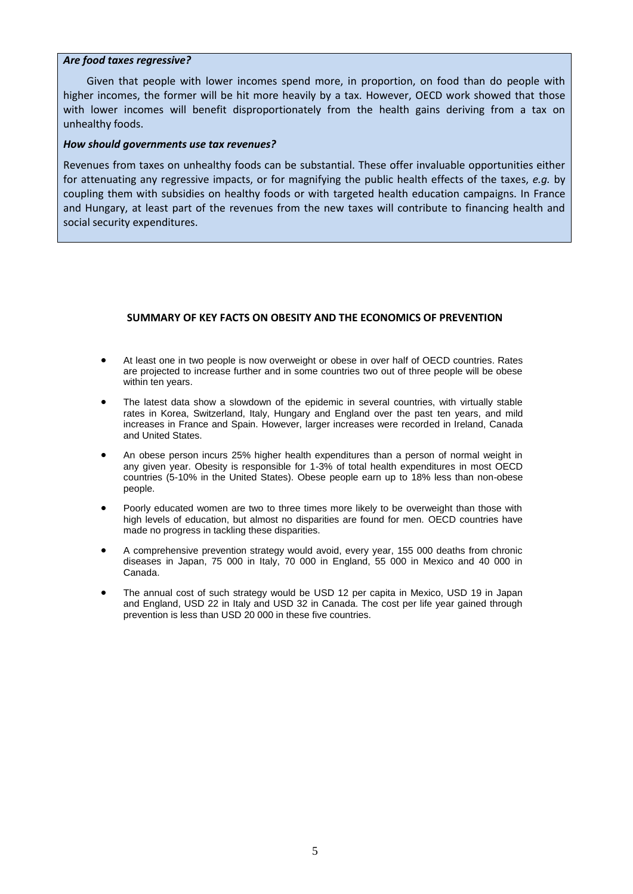#### *Are food taxes regressive?*

Given that people with lower incomes spend more, in proportion, on food than do people with higher incomes, the former will be hit more heavily by a tax. However, OECD work showed that those with lower incomes will benefit disproportionately from the health gains deriving from a tax on unhealthy foods.

## *How should governments use tax revenues?*

Revenues from taxes on unhealthy foods can be substantial. These offer invaluable opportunities either for attenuating any regressive impacts, or for magnifying the public health effects of the taxes, *e.g.* by coupling them with subsidies on healthy foods or with targeted health education campaigns. In France and Hungary, at least part of the revenues from the new taxes will contribute to financing health and social security expenditures.

## **SUMMARY OF KEY FACTS ON OBESITY AND THE ECONOMICS OF PREVENTION**

- At least one in two people is now overweight or obese in over half of OECD countries. Rates are projected to increase further and in some countries two out of three people will be obese within ten years.
- The latest data show a slowdown of the epidemic in several countries, with virtually stable rates in Korea, Switzerland, Italy, Hungary and England over the past ten years, and mild increases in France and Spain. However, larger increases were recorded in Ireland, Canada and United States.
- An obese person incurs 25% higher health expenditures than a person of normal weight in any given year. Obesity is responsible for 1-3% of total health expenditures in most OECD countries (5-10% in the United States). Obese people earn up to 18% less than non-obese people.
- Poorly educated women are two to three times more likely to be overweight than those with high levels of education, but almost no disparities are found for men. OECD countries have made no progress in tackling these disparities.
- A comprehensive prevention strategy would avoid, every year, 155 000 deaths from chronic diseases in Japan, 75 000 in Italy, 70 000 in England, 55 000 in Mexico and 40 000 in Canada.
- The annual cost of such strategy would be USD 12 per capita in Mexico, USD 19 in Japan and England, USD 22 in Italy and USD 32 in Canada. The cost per life year gained through prevention is less than USD 20 000 in these five countries.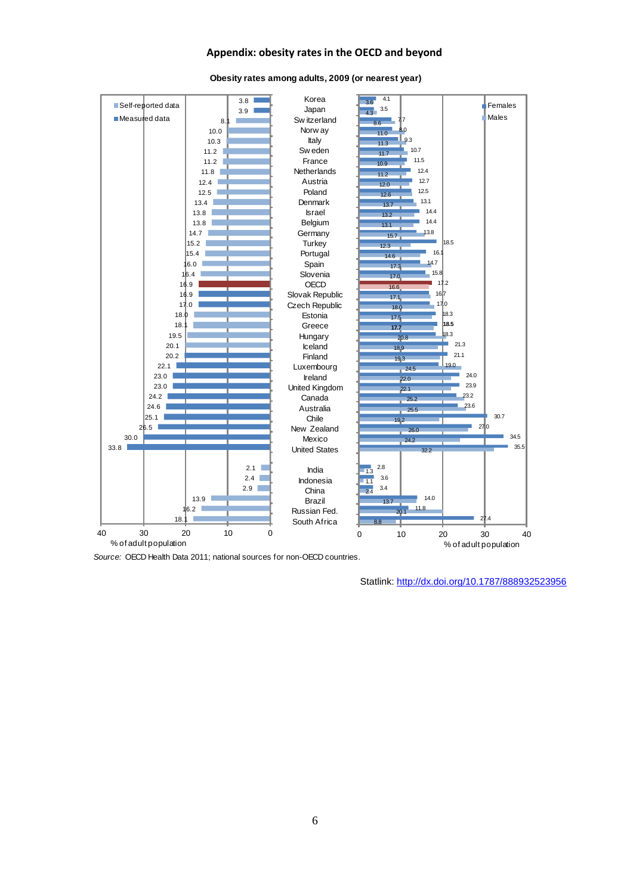## **Appendix: obesity rates in the OECD and beyond**



#### **Obesity rates among adults, 2009 (or nearest year)**

*Source:* OECD Health Data 2011; national sources for non-OECD countries.

Statlink: <http://dx.doi.org/10.1787/888932523956>